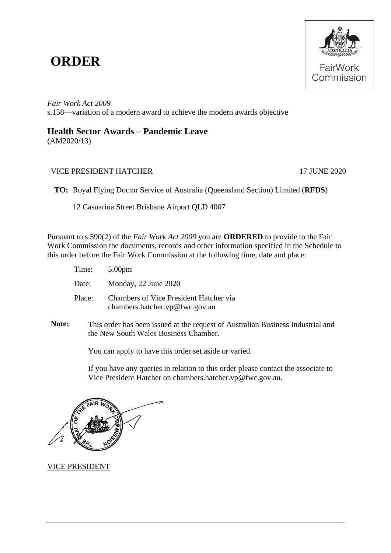## **ORDER**



*Fair Work Act 2009*  s.158—variation of a modern award to achieve the modern awards objective

## **Health Sector Awards – Pandemic Leave**

(AM2020/13)

## VICE PRESIDENT HATCHER 17 JUNE 2020

**TO:** Royal Flying Doctor Service of Australia (Queensland Section) Limited (**RFDS**)

12 Casuarina Street Brisbane Airport QLD 4007

Pursuant to s.590(2) of the *Fair Work Act 2009* you are **ORDERED** to provide to the Fair Work Commission the documents, records and other information specified in the Schedule to this order before the Fair Work Commission at the following time, date and place:

| Time: $5.00 \text{pm}$ |                                                                          |
|------------------------|--------------------------------------------------------------------------|
| Date:                  | Monday, 22 June 2020                                                     |
| Place:                 | Chambers of Vice President Hatcher via<br>chambers.hatcher.vp@fwc.gov.au |

**Note:** This order has been issued at the request of Australian Business Industrial and the New South Wales Business Chamber*.*

You can apply to have this order set aside or varied.

If you have any queries in relation to this order please contact the associate to Vice President Hatcher on chambers.hatcher.vp@fwc.gov.au.

VICE PRESIDENT